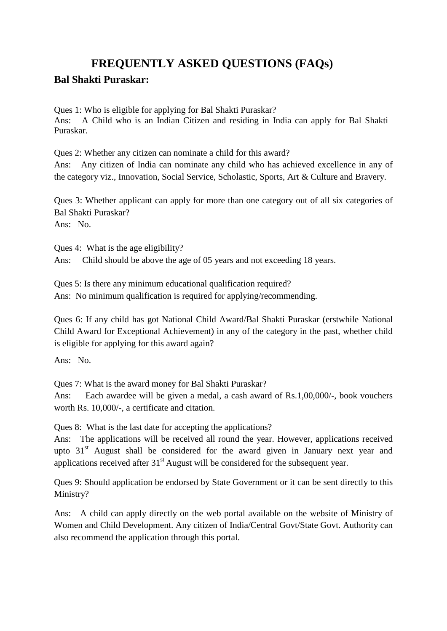## **FREQUENTLY ASKED QUESTIONS (FAQs)**

## **Bal Shakti Puraskar:**

Ques 1: Who is eligible for applying for Bal Shakti Puraskar? Ans: A Child who is an Indian Citizen and residing in India can apply for Bal Shakti Puraskar.

Ques 2: Whether any citizen can nominate a child for this award? Ans: Any citizen of India can nominate any child who has achieved excellence in any of the category viz., Innovation, Social Service, Scholastic, Sports, Art & Culture and Bravery.

Ques 3: Whether applicant can apply for more than one category out of all six categories of Bal Shakti Puraskar?

Ans: No.

Ques 4: What is the age eligibility? Ans: Child should be above the age of 05 years and not exceeding 18 years.

Ques 5: Is there any minimum educational qualification required? Ans: No minimum qualification is required for applying/recommending.

Ques 6: If any child has got National Child Award/Bal Shakti Puraskar (erstwhile National Child Award for Exceptional Achievement) in any of the category in the past, whether child is eligible for applying for this award again?

Ans: No.

Ques 7: What is the award money for Bal Shakti Puraskar?

Ans: Each awardee will be given a medal, a cash award of Rs.1,00,000/-, book vouchers worth Rs. 10,000/-, a certificate and citation.

Ques 8: What is the last date for accepting the applications?

Ans: The applications will be received all round the year. However, applications received upto  $31<sup>st</sup>$  August shall be considered for the award given in January next year and applications received after  $31<sup>st</sup>$  August will be considered for the subsequent year.

Ques 9: Should application be endorsed by State Government or it can be sent directly to this Ministry?

Ans: A child can apply directly on the web portal available on the website of Ministry of Women and Child Development. Any citizen of India/Central Govt/State Govt. Authority can also recommend the application through this portal.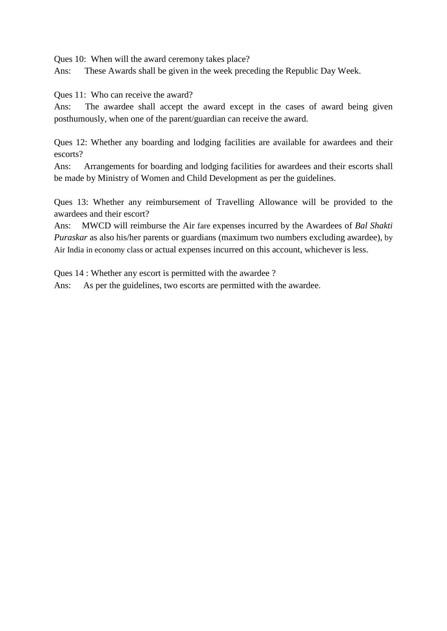Ques 10: When will the award ceremony takes place?

Ans: These Awards shall be given in the week preceding the Republic Day Week.

Ques 11: Who can receive the award?

Ans: The awardee shall accept the award except in the cases of award being given posthumously, when one of the parent/guardian can receive the award.

Ques 12: Whether any boarding and lodging facilities are available for awardees and their escorts?

Ans: Arrangements for boarding and lodging facilities for awardees and their escorts shall be made by Ministry of Women and Child Development as per the guidelines.

Ques 13: Whether any reimbursement of Travelling Allowance will be provided to the awardees and their escort?

Ans: MWCD will reimburse the Air fare expenses incurred by the Awardees of *Bal Shakti Puraskar* as also his/her parents or guardians (maximum two numbers excluding awardee), by Air India in economy class or actual expenses incurred on this account, whichever is less.

Ques 14 : Whether any escort is permitted with the awardee ?

Ans: As per the guidelines, two escorts are permitted with the awardee.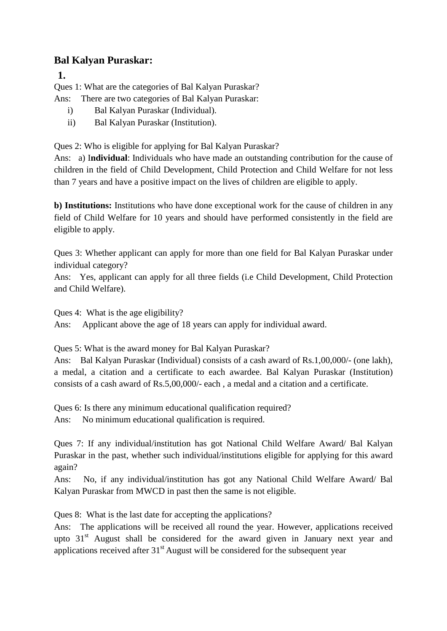## **Bal Kalyan Puraskar:**

**1.**

Ques 1: What are the categories of Bal Kalyan Puraskar?

- Ans: There are two categories of Bal Kalyan Puraskar:
	- i) Bal Kalyan Puraskar (Individual).
	- ii) Bal Kalyan Puraskar (Institution).

Ques 2: Who is eligible for applying for Bal Kalyan Puraskar?

Ans: a) I**ndividual**: Individuals who have made an outstanding contribution for the cause of children in the field of Child Development, Child Protection and Child Welfare for not less than 7 years and have a positive impact on the lives of children are eligible to apply.

**b) Institutions:** Institutions who have done exceptional work for the cause of children in any field of Child Welfare for 10 years and should have performed consistently in the field are eligible to apply.

Ques 3: Whether applicant can apply for more than one field for Bal Kalyan Puraskar under individual category?

Ans: Yes, applicant can apply for all three fields (i.e Child Development, Child Protection and Child Welfare).

Ques 4: What is the age eligibility?

Ans: Applicant above the age of 18 years can apply for individual award.

Ques 5: What is the award money for Bal Kalyan Puraskar?

Ans: Bal Kalyan Puraskar (Individual) consists of a cash award of Rs.1,00,000/- (one lakh), a medal, a citation and a certificate to each awardee. Bal Kalyan Puraskar (Institution) consists of a cash award of Rs.5,00,000/- each , a medal and a citation and a certificate.

Ques 6: Is there any minimum educational qualification required? Ans: No minimum educational qualification is required.

Ques 7: If any individual/institution has got National Child Welfare Award/ Bal Kalyan Puraskar in the past, whether such individual/institutions eligible for applying for this award again?

Ans: No, if any individual/institution has got any National Child Welfare Award/ Bal Kalyan Puraskar from MWCD in past then the same is not eligible.

Ques 8: What is the last date for accepting the applications?

Ans: The applications will be received all round the year. However, applications received upto  $31<sup>st</sup>$  August shall be considered for the award given in January next year and applications received after  $31<sup>st</sup>$  August will be considered for the subsequent year